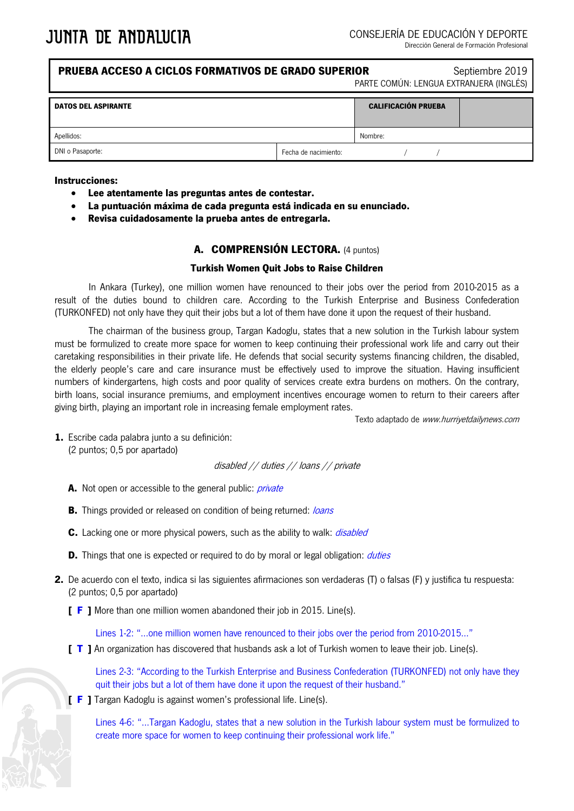| <b>PRUEBA ACCESO A CICLOS FORMATIVOS DE GRADO SUPERIOR</b><br>Septiembre 2019<br>PARTE COMÚN: LENGUA EXTRANJERA (INGLÉS) |                      |                            |  |
|--------------------------------------------------------------------------------------------------------------------------|----------------------|----------------------------|--|
| <b>DATOS DEL ASPIRANTE</b>                                                                                               |                      | <b>CALIFICACIÓN PRUEBA</b> |  |
| Apellidos:                                                                                                               |                      | Nombre:                    |  |
| DNI o Pasaporte:                                                                                                         | Fecha de nacimiento: |                            |  |
|                                                                                                                          |                      |                            |  |

#### **Instrucciones:**

- **Lee atentamente las preguntas antes de contestar.**
- **La puntuación máxima de cada pregunta está indicada en su enunciado.**
- **Revisa cuidadosamente la prueba antes de entregarla.**

## **A. COMPRENSIÓN LECTORA.** (4 puntos)

### **Turkish Women Quit Jobs to Raise Children**

In Ankara (Turkey), one million women have renounced to their jobs over the period from 2010-2015 as a result of the duties bound to children care. According to the Turkish Enterprise and Business Confederation (TURKONFED) not only have they quit their jobs but a lot of them have done it upon the request of their husband.

The chairman of the business group, Targan Kadoglu, states that a new solution in the Turkish labour system must be formulized to create more space for women to keep continuing their professional work life and carry out their caretaking responsibilities in their private life. He defends that social security systems financing children, the disabled, the elderly people's care and care insurance must be effectively used to improve the situation. Having insufficient numbers of kindergartens, high costs and poor quality of services create extra burdens on mothers. On the contrary, birth loans, social insurance premiums, and employment incentives encourage women to return to their careers after giving birth, playing an important role in increasing female employment rates.

Texto adaptado de www.hurriyetdailynews.com

**1.** Escribe cada palabra junto a su definición: (2 puntos; 0,5 por apartado)

disabled // duties // loans // private

- **A.** Not open or accessible to the general public: *private*
- **B.** Things provided or released on condition of being returned: loans
- **C.** Lacking one or more physical powers, such as the ability to walk: *disabled*
- **D.** Things that one is expected or required to do by moral or legal obligation: *duties*
- **2.** De acuerdo con el texto, indica si las siguientes afirmaciones son verdaderas (T) o falsas (F) y justifica tu respuesta: (2 puntos; 0,5 por apartado)
	- **[ F ]** More than one million women abandoned their job in 2015. Line(s).

Lines 1-2: "…one million women have renounced to their jobs over the period from 2010-2015..."

**[ T ]** An organization has discovered that husbands ask a lot of Turkish women to leave their job. Line(s).

Lines 2-3: "According to the Turkish Enterprise and Business Confederation (TURKONFED) not only have they quit their jobs but a lot of them have done it upon the request of their husband."

**[ F ]** Targan Kadoglu is against women's professional life. Line(s).

Lines 4-6: "…Targan Kadoglu, states that a new solution in the Turkish labour system must be formulized to create more space for women to keep continuing their professional work life."